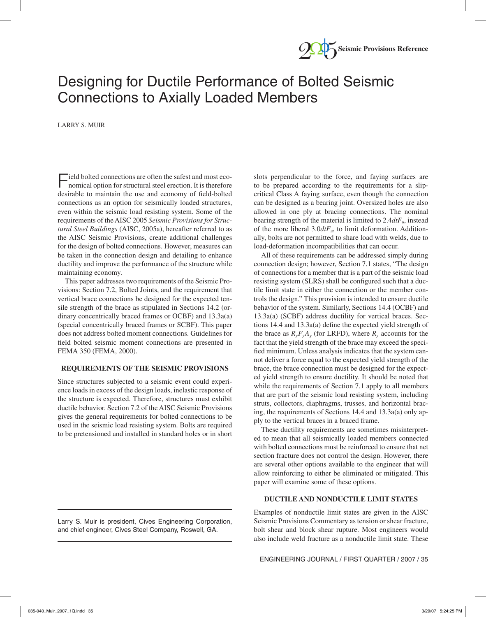

# Designing for Ductile Performance of Bolted Seismic Connections to Axially Loaded Members

LARRY S. MUIR

Field bolted connections are often the safest and most economical option for structural steel erection. It is therefore desirable to maintain the use and economy of field-bolted connections as an option for seismically loaded structures, even within the seismic load resisting system. Some of the requirements of the AISC 2005 *Seismic Provisions for Structural Steel Buildings* (AISC, 2005a), hereafter referred to as the AISC Seismic Provisions, create additional challenges for the design of bolted connections. However, measures can be taken in the connection design and detailing to enhance ductility and improve the performance of the structure while maintaining economy.

This paper addresses two requirements of the Seismic Provisions: Section 7.2, Bolted Joints, and the requirement that vertical brace connections be designed for the expected tensile strength of the brace as stipulated in Sections 14.2 (ordinary concentrically braced frames or OCBF) and 13.3a(a) (special concentrically braced frames or SCBF). This paper does not address bolted moment connections. Guidelines for field bolted seismic moment connections are presented in FEMA 350 (FEMA, 2000).

# **REQUIREMENTS OF THE SEISMIC PROVISIONS**

Since structures subjected to a seismic event could experience loads in excess of the design loads, inelastic response of the structure is expected. Therefore, structures must exhibit ductile behavior. Section 7.2 of the AISC Seismic Provisions gives the general requirements for bolted connections to be used in the seismic load resisting system. Bolts are required to be pretensioned and installed in standard holes or in short

Larry S. Muir is president, Cives Engineering Corporation, and chief engineer, Cives Steel Company, Roswell, GA.

slots perpendicular to the force, and faying surfaces are to be prepared according to the requirements for a slipcritical Class A faying surface, even though the connection can be designed as a bearing joint. Oversized holes are also allowed in one ply at bracing connections. The nominal bearing strength of the material is limited to 2.4*dtFu*, instead of the more liberal 3.0*dtFu*, to limit deformation. Additionally, bolts are not permitted to share load with welds, due to load-deformation incompatibilities that can occur.

All of these requirements can be addressed simply during connection design; however, Section 7.1 states, "The design of connections for a member that is a part of the seismic load resisting system (SLRS) shall be configured such that a ductile limit state in either the connection or the member controls the design." This provision is intended to ensure ductile behavior of the system. Similarly, Sections 14.4 (OCBF) and 13.3a(a) (SCBF) address ductility for vertical braces. Sections 14.4 and 13.3 $a$ (a) define the expected yield strength of the brace as  $R_vF_vA_g$  (for LRFD), where  $R_v$  accounts for the fact that the yield strength of the brace may exceed the specified minimum. Unless analysis indicates that the system cannot deliver a force equal to the expected yield strength of the brace, the brace connection must be designed for the expected yield strength to ensure ductility. It should be noted that while the requirements of Section 7.1 apply to all members that are part of the seismic load resisting system, including struts, collectors, diaphragms, trusses, and horizontal bracing, the requirements of Sections 14.4 and 13.3a(a) only apply to the vertical braces in a braced frame.

These ductility requirements are sometimes misinterpreted to mean that all seismically loaded members connected with bolted connections must be reinforced to ensure that net section fracture does not control the design. However, there are several other options available to the engineer that will allow reinforcing to either be eliminated or mitigated. This paper will examine some of these options.

## **DUCTILE AND NONDUCTILE LIMIT STATES**

Examples of nonductile limit states are given in the AISC Seismic Provisions Commentary as tension or shear fracture, bolt shear and block shear rupture. Most engineers would also include weld fracture as a nonductile limit state. These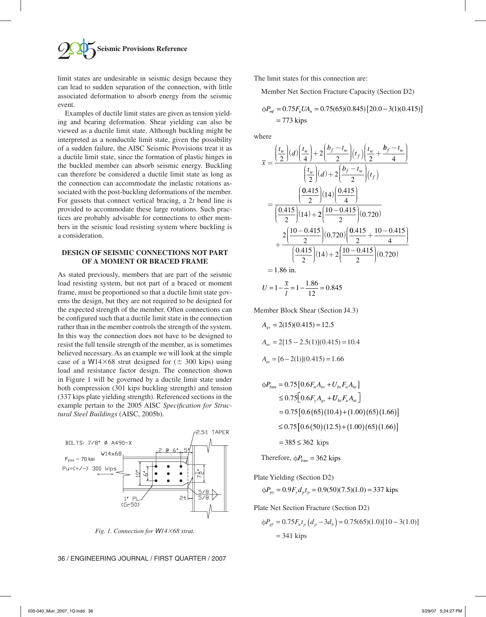

limit states are undesirable in seismic design because they can lead to sudden separation of the connection, with little associated deformation to absorb energy from the seismic event.

Examples of ductile limit states are given as tension yielding and bearing deformation. Shear yielding can also be viewed as a ductile limit state. Although buckling might be interpreted as a nonductile limit state, given the possibility of a sudden failure, the AISC Seismic Provisions treat it as a ductile limit state, since the formation of plastic hinges in the buckled member can absorb seismic energy. Buckling can therefore be considered a ductile limit state as long as the connection can accommodate the inelastic rotations associated with the post-buckling deformations of the member. For gussets that connect vertical bracing, a 2*t* bend line is provided to accommodate these large rotations. Such practices are probably advisable for connections to other members in the seismic load resisting system where buckling is a consideration.

# **DESIGN OF SEISMIC CONNECTIONS NOT PART OF A MOMENT OR BRACED FRAME**

As stated previously, members that are part of the seismic load resisting system, but not part of a braced or moment frame, must be proportioned so that a ductile limit state governs the design, but they are not required to be designed for the expected strength of the member. Often connections can be configured such that a ductile limit state in the connection rather than in the member controls the strength of the system. In this way the connection does not have to be designed to resist the full tensile strength of the member, as is sometimes believed necessary. As an example we will look at the simple case of a W14 $\times$ 68 strut designed for ( $\pm$  300 kips) using load and resistance factor design. The connection shown in Figure 1 will be governed by a ductile limit state under both compression (301 kips buckling strength) and tension (337 kips plate yielding strength). Referenced sections in the example pertain to the 2005 AISC *Specification for Structural Steel Buildings* (AISC, 2005b).



*Fig. 1. Connection for W1468 strut.*

The limit states for this connection are:

Member Net Section Fracture Capacity (Section D2)

$$
\phi P_{mf} = 0.75 F_u U A_n = 0.75(65)(0.845) [20.0 - 3(1)(0.415)]
$$
  
= 773 kips

where

$$
\overline{x} = \frac{\left(\frac{t_w}{2}\right)(d)\left(\frac{t_w}{4}\right) + 2\left(\frac{b_f - t_w}{2}\right)(t_f)\left(\frac{t_w}{2} + \frac{b_f - t_w}{4}\right)}{\left(\frac{t_w}{2}\right)(d) + 2\left(\frac{b_f - t_w}{2}\right)(t_f)}
$$
\n
$$
= \frac{\left(\frac{0.415}{2}\right)(14)\left(\frac{0.415}{4}\right)}{\left(\frac{0.415}{2}\right)(14) + 2\left(\frac{10 - 0.415}{2}\right)(0.720)}
$$
\n
$$
+ \frac{2\left(\frac{10 - 0.415}{2}\right)(0.720)\left(\frac{0.415}{2} + \frac{10 - 0.415}{4}\right)}{\left(\frac{0.415}{2}\right)(14) + 2\left(\frac{10 - 0.415}{2}\right)(0.720)}
$$
\n= 1.86 in.

$$
U = 1 - \frac{\overline{x}}{l} = 1 - \frac{1.86}{12} = 0.845
$$

Member Block Shear (Section J4.3)

$$
A_{\rm gv} = 2(15)(0.415) = 12.5
$$
  
\n
$$
A_{\rm mv} = 2[15 - 2.5(1)](0.415) = 10.4
$$
  
\n
$$
A_{\rm nt} = [6 - 2(1)](0.415) = 1.66
$$

$$
\phi P_{bsm} = 0.75[0.6F_u A_{nv} + U_{bs}F_u A_{nt}]
$$
  
\n
$$
\leq 0.75[0.6F_y A_{gv} + U_{bs}F_u A_{nt}]
$$
  
\n
$$
= 0.75[0.6(65)(10.4) + (1.00)(65)(1.66)]
$$
  
\n
$$
\leq 0.75[0.6(50)(12.5) + (1.00)(65)(1.66)]
$$
  
\n
$$
= 385 \leq 362 \text{ kips}
$$

Therefore,  $\phi P_{bsm} = 362$  kips

Plate Yielding (Section D2)

$$
\phi P_{py} = 0.9F_y d_p t_p = 0.9(50)(7.5)(1.0) = 337 \text{ kips}
$$

Plate Net Section Fracture (Section D2)

$$
\Phi P_{pf} = 0.75 F_u t_p (d_p - 3d_h) = 0.75(65)(1.0)[10 - 3(1.0)]
$$
  
= 341 kips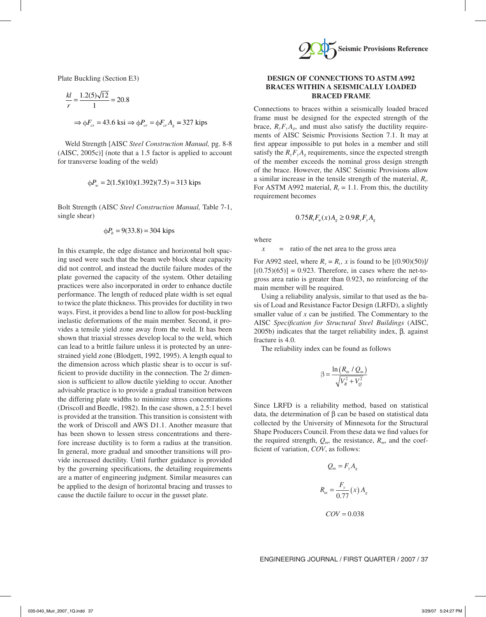Plate Buckling (Section E3)

$$
\frac{kl}{r} = \frac{1.2(5)\sqrt{12}}{1} = 20.8
$$
  
\n
$$
\Rightarrow \phi F_{cr} = 43.6 \text{ ks} \Rightarrow \phi P_{cr} = \phi F_{cr} A_g = 327 \text{ kips}
$$

Weld Strength [AISC *Steel Construction Manual,* pg. 8-8 (AISC, 2005c)] (note that a 1.5 factor is applied to account for transverse loading of the weld)

$$
\phi P_w = 2(1.5)(10)(1.392)(7.5) = 313 \text{ kips}
$$

Bolt Strength (AISC *Steel Construction Manual,* Table 7-1, single shear)

$$
\phi P_b = 9(33.8) = 304
$$
 kips

In this example, the edge distance and horizontal bolt spacing used were such that the beam web block shear capacity did not control, and instead the ductile failure modes of the plate governed the capacity of the system. Other detailing practices were also incorporated in order to enhance ductile performance. The length of reduced plate width is set equal to twice the plate thickness. This provides for ductility in two ways. First, it provides a bend line to allow for post-buckling inelastic deformations of the main member. Second, it provides a tensile yield zone away from the weld. It has been shown that triaxial stresses develop local to the weld, which can lead to a brittle failure unless it is protected by an unrestrained yield zone (Blodgett, 1992, 1995). A length equal to the dimension across which plastic shear is to occur is sufficient to provide ductility in the connection. The 2*t* dimension is sufficient to allow ductile yielding to occur. Another advisable practice is to provide a gradual transition between the differing plate widths to minimize stress concentrations (Driscoll and Beedle, 1982). In the case shown, a 2.5:1 bevel is provided at the transition. This transition is consistent with the work of Driscoll and AWS D1.1. Another measure that has been shown to lessen stress concentrations and therefore increase ductility is to form a radius at the transition. In general, more gradual and smoother transitions will provide increased ductility. Until further guidance is provided by the governing specifications, the detailing requirements are a matter of engineering judgment. Similar measures can be applied to the design of horizontal bracing and trusses to cause the ductile failure to occur in the gusset plate.



# **DESIGN OF CONNECTIONS TO ASTM A992 BRACES WITHIN A SEISMICALLY LOADED BRACED FRAME**

Connections to braces within a seismically loaded braced frame must be designed for the expected strength of the brace,  $R_vF_vA_v$ , and must also satisfy the ductility requirements of AISC Seismic Provisions Section 7.1. It may at first appear impossible to put holes in a member and still satisfy the  $R_vF_vA_g$  requirements, since the expected strength of the member exceeds the nominal gross design strength of the brace. However, the AISC Seismic Provisions allow a similar increase in the tensile strength of the material, *Rt*. For ASTM A992 material,  $R_t = 1.1$ . From this, the ductility requirement becomes

$$
0.75R_{t}F_{u}(x)A_{g} \ge 0.9R_{y}F_{y}A_{g}
$$

where

 $x =$  ratio of the net area to the gross area

For A992 steel, where  $R_v = R_t$ , x is found to be  $[(0.90)(50)]/$  $[(0.75)(65)] = 0.923$ . Therefore, in cases where the net-togross area ratio is greater than 0.923, no reinforcing of the main member will be required.

Using a reliability analysis, similar to that used as the basis of Load and Resistance Factor Design (LRFD), a slightly smaller value of  $x$  can be justified. The Commentary to the AISC *Specifi cation for Structural Steel Buildings* (AISC, 2005b) indicates that the target reliability index, β*,* against fracture is 4.0.

The reliability index can be found as follows

$$
\beta = \frac{\ln(R_m / Q_m)}{\sqrt{V_R^2 + V_Q^2}}
$$

Since LRFD is a reliability method, based on statistical data, the determination of β can be based on statistical data collected by the University of Minnesota for the Structural Shape Producers Council. From these data we find values for the required strength,  $Q_m$ , the resistance,  $R_m$ , and the coefficient of variation, *COV*, as follows:

$$
Q_m = F_y A_g
$$

$$
R_m = \frac{F_y}{0.77} (x) A_g
$$

$$
COV = 0.038
$$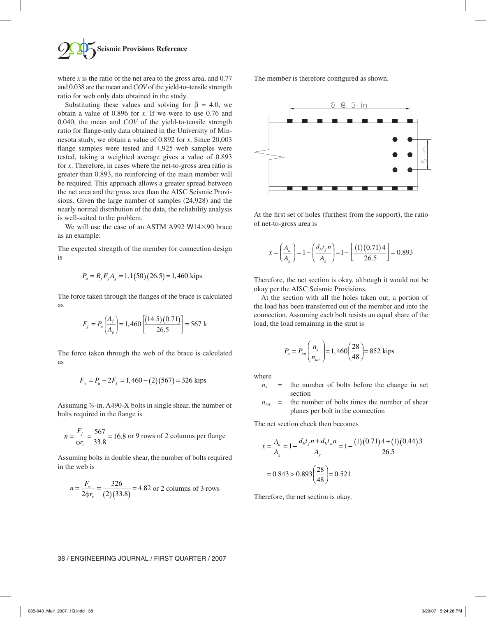

where  $x$  is the ratio of the net area to the gross area, and  $0.77$ and 0.038 are the mean and *COV* of the yield-to–tensile strength ratio for web only data obtained in the study.

Substituting these values and solving for  $\beta = 4.0$ , we obtain a value of 0.896 for *x*. If we were to use 0.76 and 0.040, the mean and *COV* of the yield-to-tensile strength ratio for flange-only data obtained in the University of Minnesota study, we obtain a value of 0.892 for *x*. Since 20,003 flange samples were tested and 4,925 web samples were tested, taking a weighted average gives a value of 0.893 for *x*. Therefore, in cases where the net-to-gross area ratio is greater than 0.893, no reinforcing of the main member will be required. This approach allows a greater spread between the net area and the gross area than the AISC Seismic Provisions. Given the large number of samples (24,928) and the nearly normal distribution of the data, the reliability analysis is well-suited to the problem.

We will use the case of an ASTM A992 W14 $\times$ 90 brace as an example:

The expected strength of the member for connection design is

$$
P_u = R_y F_y A_g = 1.1(50)(26.5) = 1,460
$$
 kips

The force taken through the flanges of the brace is calculated as

$$
F_f = P_u \left( \frac{A_f}{A_g} \right) = 1,460 \left[ \frac{(14.5)(0.71)}{26.5} \right] = 567 \text{ k}
$$

The force taken through the web of the brace is calculated as

$$
F_w = P_u - 2F_f = 1,460 - (2)(567) = 326
$$
 kips

Assuming  $\frac{7}{8}$ -in. A490-X bolts in single shear, the number of bolts required in the flange is

$$
n = \frac{F_f}{\phi r_v} = \frac{567}{33.8} = 16.8 \text{ or } 9 \text{ rows of } 2 \text{ columns per flange}
$$

Assuming bolts in double shear, the number of bolts required in the web is

$$
n = \frac{F_w}{2\phi r_v} = \frac{326}{(2)(33.8)} = 4.82 \text{ or } 2 \text{ columns of } 3 \text{ rows}
$$

The member is therefore configured as shown.



At the first set of holes (furthest from the support), the ratio of net-to-gross area is

$$
x = \left(\frac{A_n}{A_g}\right) = 1 - \left(\frac{d_h t_f n}{A_g}\right) = 1 - \left[\frac{(1)(0.71)4}{26.5}\right] = 0.893
$$

Therefore, the net section is okay, although it would not be okay per the AISC Seismic Provisions.

At the section with all the holes taken out, a portion of the load has been transferred out of the member and into the connection. Assuming each bolt resists an equal share of the load, the load remaining in the strut is

$$
P_u = P_{tot} \left( \frac{n_s}{n_{tot}} \right) = 1,460 \left( \frac{28}{48} \right) = 852 \text{ kips}
$$

where

- $n_s$  = the number of bolts before the change in net section
- $n_{tot}$  = the number of bolts times the number of shear planes per bolt in the connection

The net section check then becomes

$$
x = \frac{A_n}{A_g} = 1 - \frac{d_h t_f n + d_h t_w n}{A_g} = 1 - \frac{(1)(0.71)4 + (1)(0.44)3}{26.5}
$$

$$
= 0.843 > 0.893 \left(\frac{28}{48}\right) = 0.521
$$

Therefore, the net section is okay.